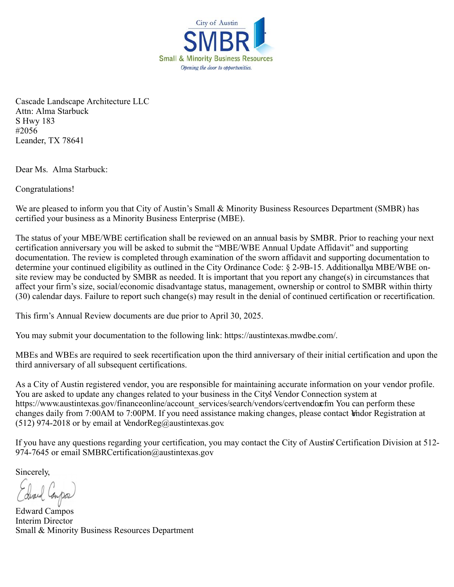

Cascade Landscape Architecture LLC Attn: Alma Starbuck S Hwy 183 #2056 Leander, TX 78641

Dear Ms. Alma Starbuck:

Congratulations!

We are pleased to inform you that City of Austin's Small & Minority Business Resources Department (SMBR) has certified your business as a Minority Business Enterprise (MBE).

The status of your MBE/WBE certification shall be reviewed on an annual basis by SMBR. Prior to reaching your next certification anniversary you will be asked to submit the "MBE/WBE Annual Update Affidavit" and supporting documentation. The review is completed through examination of the sworn affidavit and supporting documentation to determine your continued eligibility as outlined in the City Ordinance Code: § 2-9B-15. Additionally a MBE/WBE onsite review may be conducted by SMBR as needed. It is important that you report any change(s) in circumstances that affect your firm's size, social/economic disadvantage status, management, ownership or control to SMBR within thirty (30) calendar days. Failure to report such change(s) may result in the denial of continued certification or recertification.

This firm's Annual Review documents are due prior to April 30, 2025.

You may submit your documentation to the following link: https://austintexas.mwdbe.com/.

MBEs and WBEs are required to seek recertification upon the third anniversary of their initial certification and upon the third anniversary of all subsequent certifications.

As a City of Austin registered vendor, you are responsible for maintaining accurate information on your vendor profile. You are asked to update any changes related to your business in the City's Vendor Connection system at https://www.austintexas.gov/financeonline/account\_services/search/vendors/certvendor.cfm You can perform these changes daily from 7:00AM to 7:00PM. If you need assistance making changes, please contact Vndor Registration at (512) 974-2018 or by email at VendorReg@austintexas.gov.

If you have any questions regarding your certification, you may contact the City of Austin's Certification Division at 512- 974-7645 or email SMBRCertification@austintexas.gov

Sincerely,

Edward Campos Interim Director Small & Minority Business Resources Department